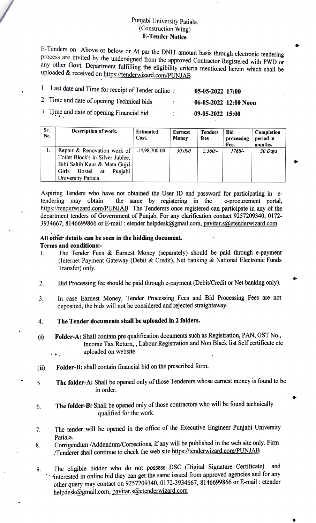## Punjabi University Patiala.<br>(Construction Wing) **E-Tender Notice**

E-Tenders on Above or below or At par the DNIT amount basis through electronic tendering process are invited by the undersigned from the approved Contractor Registered with PWD or any other Govt. Department fulfilling the eligibility criteria mentioned herein which shall be uploaded & received on https://tenderwizard.com/PUNJAB

| 1. Last date and Time for receipt of Tender online: | 05-05-2022 17:00   |                       |
|-----------------------------------------------------|--------------------|-----------------------|
| 2. Time and date of opening Technical bids          |                    | 06-05-2022 12:00 Noon |
| 3 Time and date of opening Financial bid            | $09-05-2022$ 15:00 |                       |

| Sr.<br>No. | Description of work.                                                                                                                                       | <b>Estimated</b><br>Cost. | <b>Earnest</b><br>Money | <b>Tenders</b><br>fees | <b>Bid</b><br>processing<br>Fee. | Completion<br>period in<br>months. |
|------------|------------------------------------------------------------------------------------------------------------------------------------------------------------|---------------------------|-------------------------|------------------------|----------------------------------|------------------------------------|
|            | Repair & Renovation work of<br>Toilet Block's in Silver Jublee,<br>Bibi Sahib Kaur & Mata Gujri<br>Girls<br>Hostel<br>Puniabi<br>at<br>University Patiala. | 14,98,700-00              | 30,000                  | $2,360/-$              | $1768/-$                         | 30 Days                            |

Aspiring Tenders who have not obtained the User ID and password for participating in e tendering may obtain https://tenderwizard.com/PUNJAB The Tenderers once registered can participate in any of the department tenders of Government of Punjab. For any clarification contact 9257209340, 0172- 3934667, 8146699866 or E-mail : etender helpdesk@gmail.com, pavitar.s@etenderwizard.com the same by registering in the e-procurement portal,

## All other details can be seen in the bidding document. Terms and conditions:

- 1. The Tender Fees & Earnest Money (separately) should be paid through e-paymen (Internet Payment Gateway (Debit & Credit), Net banking & National Electronic Funds Transfer) only.
- 2. Bid Processing fee should be paid through e-payment (Debit/Credit or Net banking only).
- 3. In case Earnest Money, Tender Processing Fees and Bid Processing Fees are not deposited, the bids will not be considered and rejected straightaway.
- 4. The Tender documents shall be uploaded in 2 folders
- ) Folder-A: Shall contain pre qualification documents such as Registration, PAN, GST No, Income Tax Return, , Labour Registration and Non Black list Self certificate etc uploaded on website.
- (ii) Folder-B: shall contain financial bid on the prescribed form.
- The folder-A: Shall be opened only of those Tenderers whose eamest money is found to be 5. in order.
- The folder-B: Shall be opened only of those contractors who will be found technically 6. qualified for the work.
- The tender will be opened in the office of the Executive Engineer Punjabi University 7. Patiala.

Corrigendum /Addendum/Corrections, if any will be published in the web site only. Firm Tenderer shall continue to check the web site https://tenderwizard.com/PUNJAB 8.

The eligible bidder who do not possess DSC (Digital Signature Certificate) and interested in online bid they can get the same issued from approved agencies and for any other query may contact on 9257209340, 0172-3934667, 8146699866 or E-mail : etender helpdesk@gmail.com, pavitar.s@etenderwizard.com 9.